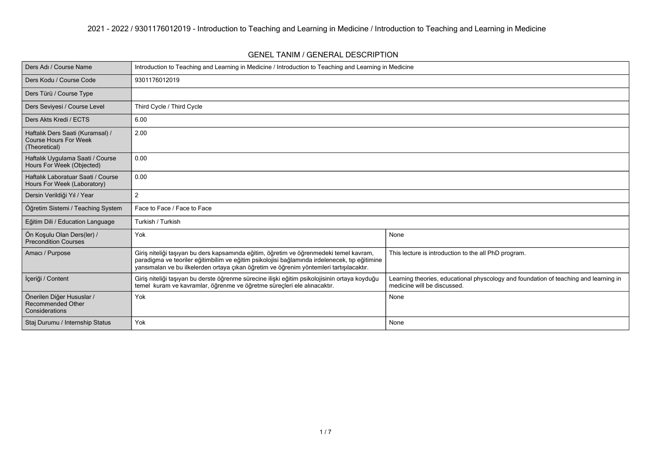#### **GENEL TANIM / GENERAL DESCRIPTION**

| Ders Adı / Course Name                                                            | Introduction to Teaching and Learning in Medicine / Introduction to Teaching and Learning in Medicine                                                                                                                                                                               |                                                                                                                     |  |  |  |  |  |  |
|-----------------------------------------------------------------------------------|-------------------------------------------------------------------------------------------------------------------------------------------------------------------------------------------------------------------------------------------------------------------------------------|---------------------------------------------------------------------------------------------------------------------|--|--|--|--|--|--|
| Ders Kodu / Course Code                                                           | 9301176012019                                                                                                                                                                                                                                                                       |                                                                                                                     |  |  |  |  |  |  |
| Ders Türü / Course Type                                                           |                                                                                                                                                                                                                                                                                     |                                                                                                                     |  |  |  |  |  |  |
| Ders Seviyesi / Course Level                                                      | Third Cycle / Third Cycle                                                                                                                                                                                                                                                           |                                                                                                                     |  |  |  |  |  |  |
| Ders Akts Kredi / ECTS                                                            | 6.00                                                                                                                                                                                                                                                                                |                                                                                                                     |  |  |  |  |  |  |
| Haftalık Ders Saati (Kuramsal) /<br><b>Course Hours For Week</b><br>(Theoretical) | 2.00                                                                                                                                                                                                                                                                                |                                                                                                                     |  |  |  |  |  |  |
| Haftalık Uygulama Saati / Course<br>Hours For Week (Objected)                     | 0.00                                                                                                                                                                                                                                                                                |                                                                                                                     |  |  |  |  |  |  |
| Haftalık Laboratuar Saati / Course<br>Hours For Week (Laboratory)                 | 0.00                                                                                                                                                                                                                                                                                |                                                                                                                     |  |  |  |  |  |  |
| Dersin Verildiği Yıl / Year                                                       | 2                                                                                                                                                                                                                                                                                   |                                                                                                                     |  |  |  |  |  |  |
| Öğretim Sistemi / Teaching System                                                 | Face to Face / Face to Face                                                                                                                                                                                                                                                         |                                                                                                                     |  |  |  |  |  |  |
| Eğitim Dili / Education Language                                                  | Turkish / Turkish                                                                                                                                                                                                                                                                   |                                                                                                                     |  |  |  |  |  |  |
| Ön Koşulu Olan Ders(ler) /<br>Precondition Courses                                | Yok                                                                                                                                                                                                                                                                                 | None                                                                                                                |  |  |  |  |  |  |
| Amacı / Purpose                                                                   | Giriş niteliği taşıyan bu ders kapsamında eğitim, öğretim ve öğrenmedeki temel kavram,<br>paradigma ve teoriler eğitimbilim ve eğitim psikolojisi bağlamında irdelenecek, tıp eğitimine<br>yansımaları ve bu ilkelerden ortaya çıkan öğretim ve öğrenim yöntemleri tartışılacaktır. | This lecture is introduction to the all PhD program.                                                                |  |  |  |  |  |  |
| İçeriği / Content                                                                 | Giriş niteliği taşıyan bu derste öğrenme sürecine ilişki eğitim psikolojisinin ortaya koyduğu<br>temel kuram ve kavramlar, öğrenme ve öğretme sürecleri ele alınacaktır.                                                                                                            | Learning theories, educational physcology and foundation of teaching and learning in<br>medicine will be discussed. |  |  |  |  |  |  |
| Önerilen Diğer Hususlar /<br><b>Recommended Other</b><br>Considerations           | Yok                                                                                                                                                                                                                                                                                 | None                                                                                                                |  |  |  |  |  |  |
| Staj Durumu / Internship Status                                                   | Yok                                                                                                                                                                                                                                                                                 | None                                                                                                                |  |  |  |  |  |  |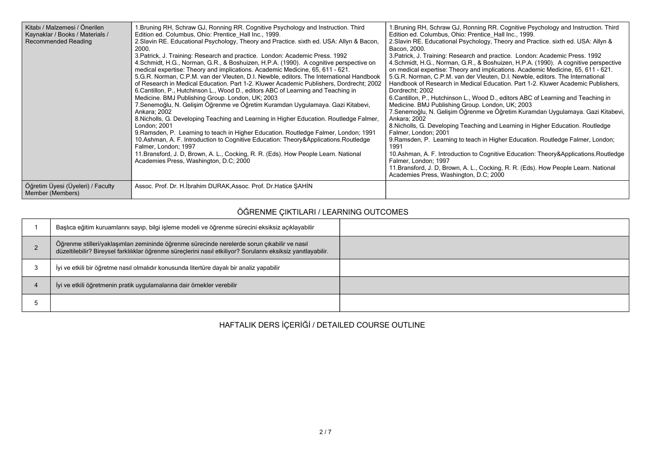| Kitabı / Malzemesi / Önerilen<br>Kaynaklar / Books / Materials /<br><b>Recommended Reading</b> | 1. Bruning RH, Schraw GJ, Ronning RR. Cognitive Psychology and Instruction. Third<br>Edition ed. Columbus, Ohio: Prentice Hall Inc., 1999.<br>2. Slavin RE. Educational Psychology, Theory and Practice. sixth ed. USA: Allyn & Bacon,<br>2000.<br>3. Patrick, J. Training: Research and practice. London: Academic Press. 1992<br>4. Schmidt, H.G., Norman, G.R., & Boshuizen, H.P.A. (1990). A cognitive perspective on<br>medical expertise: Theory and implications. Academic Medicine, 65, 611 - 621.<br>5.G.R. Norman, C.P.M. van der Vleuten, D.I. Newble, editors. The International Handbook<br>of Research in Medical Education. Part 1-2. Kluwer Academic Publishers, Dordrecht; 2002<br>6. Cantillon, P., Hutchinson L., Wood D., editors ABC of Learning and Teaching in<br>Medicine. BMJ Publishing Group. London, UK; 2003<br>7. Senemoğlu, N. Gelisim Öğrenme ve Öğretim Kuramdan Uygulamaya. Gazi Kitabevi,<br>Ankara; 2002<br>8. Nicholls, G. Developing Teaching and Learning in Higher Education. Routledge Falmer,<br>London; 2001<br>9. Ramsden, P. Learning to teach in Higher Education. Routledge Falmer, London, 1991<br>10. Ashman, A. F. Introduction to Cognitive Education: Theory&Applications. Routledge<br>Falmer, London; 1997<br>11. Bransford, J. D, Brown, A. L., Cocking, R. R. (Eds). How People Learn. National<br>Academies Press, Washington, D.C; 2000 | 1. Bruning RH, Schraw GJ, Ronning RR. Cognitive Psychology and Instruction. Third<br>Edition ed. Columbus, Ohio: Prentice Hall Inc., 1999.<br>2. Slavin RE. Educational Psychology, Theory and Practice. sixth ed. USA: Allyn &<br>Bacon, 2000.<br>3. Patrick, J. Training: Research and practice. London: Academic Press. 1992<br>4. Schmidt, H.G., Norman, G.R., & Boshuizen, H.P.A. (1990). A cognitive perspective<br>on medical expertise: Theory and implications. Academic Medicine, 65, 611 - 621.<br>5.G.R. Norman, C.P.M. van der Vleuten, D.I. Newble, editors. The International<br>Handbook of Research in Medical Education. Part 1-2. Kluwer Academic Publishers,<br>Dordrecht; 2002<br>6. Cantillon, P., Hutchinson L., Wood D., editors ABC of Learning and Teaching in<br>Medicine. BMJ Publishing Group. London, UK; 2003<br>7. Senemoğlu, N. Gelişim Öğrenme ve Öğretim Kuramdan Uygulamaya. Gazi Kitabevi,<br>Ankara; 2002<br>8. Nicholls, G. Developing Teaching and Learning in Higher Education. Routledge<br>Falmer, London; 2001<br>9. Ramsden, P. Learning to teach in Higher Education. Routledge Falmer, London;<br>1991<br>10. Ashman, A. F. Introduction to Cognitive Education: Theory&Applications. Routledge<br>Falmer, London; 1997<br>11.Bransford, J. D, Brown, A. L., Cocking, R. R. (Eds). How People Learn. National<br>Academies Press, Washington, D.C; 2000 |
|------------------------------------------------------------------------------------------------|---------------------------------------------------------------------------------------------------------------------------------------------------------------------------------------------------------------------------------------------------------------------------------------------------------------------------------------------------------------------------------------------------------------------------------------------------------------------------------------------------------------------------------------------------------------------------------------------------------------------------------------------------------------------------------------------------------------------------------------------------------------------------------------------------------------------------------------------------------------------------------------------------------------------------------------------------------------------------------------------------------------------------------------------------------------------------------------------------------------------------------------------------------------------------------------------------------------------------------------------------------------------------------------------------------------------------------------------------------------------------------------------------|--------------------------------------------------------------------------------------------------------------------------------------------------------------------------------------------------------------------------------------------------------------------------------------------------------------------------------------------------------------------------------------------------------------------------------------------------------------------------------------------------------------------------------------------------------------------------------------------------------------------------------------------------------------------------------------------------------------------------------------------------------------------------------------------------------------------------------------------------------------------------------------------------------------------------------------------------------------------------------------------------------------------------------------------------------------------------------------------------------------------------------------------------------------------------------------------------------------------------------------------------------------------------------------------------------------------------------------------------------------------------------------------------------|
| Öğretim Üyesi (Üyeleri) / Faculty<br>Member (Members)                                          | Assoc. Prof. Dr. H. İbrahim DURAK, Assoc. Prof. Dr. Hatice ŞAHİN                                                                                                                                                                                                                                                                                                                                                                                                                                                                                                                                                                                                                                                                                                                                                                                                                                                                                                                                                                                                                                                                                                                                                                                                                                                                                                                                  |                                                                                                                                                                                                                                                                                                                                                                                                                                                                                                                                                                                                                                                                                                                                                                                                                                                                                                                                                                                                                                                                                                                                                                                                                                                                                                                                                                                                        |

### **ÖĞRENME ÇIKTILARI / LEARNING OUTCOMES**

| Başlıca eğitim kuruamlarını sayıp, bilgi işleme modeli ve öğrenme sürecini eksiksiz açıklayabilir                                                                                                              |  |
|----------------------------------------------------------------------------------------------------------------------------------------------------------------------------------------------------------------|--|
| Öğrenme stilleri/yaklaşımları zemininde öğrenme sürecinde nerelerde sorun çıkabilir ve nasıl<br>düzeltilebilir? Bireysel farklılıklar öğrenme süreçlerini nasıl etkiliyor? Sorularını eksiksiz yanıtlayabilir. |  |
| İyi ve etkili bir öğretme nasıl olmalıdır konusunda litertüre dayalı bir analiz yapabilir                                                                                                                      |  |
| İyi ve etkili öğretmenin pratik uygulamalarına dair örnekler verebilir                                                                                                                                         |  |
|                                                                                                                                                                                                                |  |

**HAFTALIK DERS İÇERİĞİ / DETAILED COURSE OUTLINE**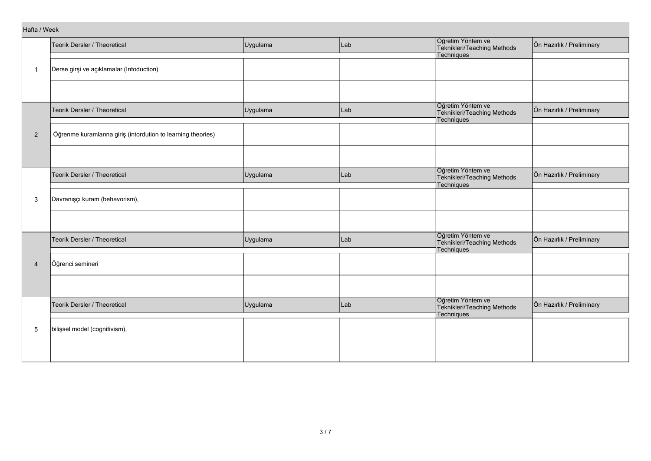| Hafta / Week   |                                                              |          |     |                                                                |                           |
|----------------|--------------------------------------------------------------|----------|-----|----------------------------------------------------------------|---------------------------|
|                | Teorik Dersler / Theoretical                                 | Uygulama | Lab | Öğretim Yöntem ve<br>Teknikleri/Teaching Methods               | Ön Hazırlık / Preliminary |
|                |                                                              |          |     | <b>Techniques</b>                                              |                           |
| -1             | Derse girşi ve açıklamalar (Intoduction)                     |          |     |                                                                |                           |
|                |                                                              |          |     |                                                                |                           |
|                |                                                              |          |     |                                                                |                           |
|                | Teorik Dersler / Theoretical                                 | Uygulama | Lab | Öğretim Yöntem ve<br>Teknikleri/Teaching Methods<br>Techniques | Ön Hazırlık / Preliminary |
|                |                                                              |          |     |                                                                |                           |
| $\overline{2}$ | Öğrenme kuramlarına giriş (intordution to learning theories) |          |     |                                                                |                           |
|                |                                                              |          |     |                                                                |                           |
|                |                                                              |          |     |                                                                |                           |
|                | Teorik Dersler / Theoretical                                 | Uygulama | Lab | Öğretim Yöntem ve<br>Teknikleri/Teaching Methods<br>Techniques | Ön Hazırlık / Preliminary |
|                |                                                              |          |     |                                                                |                           |
| 3              | Davranışçı kuram (behavorism),                               |          |     |                                                                |                           |
|                |                                                              |          |     |                                                                |                           |
|                |                                                              |          |     | Öğretim Yöntem ve                                              |                           |
|                | Teorik Dersler / Theoretical                                 | Uygulama | Lab | Teknikleri/Teaching Methods<br>Techniques                      | Ön Hazırlık / Preliminary |
|                |                                                              |          |     |                                                                |                           |
| $\overline{4}$ | Öğrenci semineri                                             |          |     |                                                                |                           |
|                |                                                              |          |     |                                                                |                           |
|                |                                                              |          |     | Öğretim Yöntem ve                                              |                           |
|                | Teorik Dersler / Theoretical                                 | Uygulama | Lab | Teknikleri/Teaching Methods<br>Techniques                      | Ön Hazırlık / Preliminary |
|                |                                                              |          |     |                                                                |                           |
| 5              | bilişsel model (cognitivism),                                |          |     |                                                                |                           |
|                |                                                              |          |     |                                                                |                           |
|                |                                                              |          |     |                                                                |                           |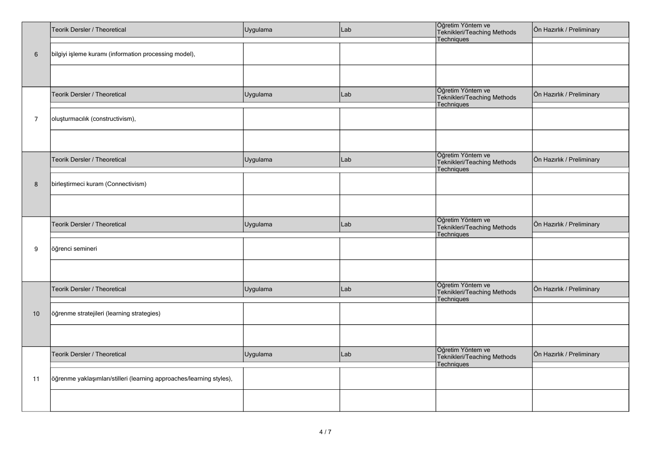|                | Teorik Dersler / Theoretical                                         | Uygulama | Lab | Öğretim Yöntem ve<br>Teknikleri/Teaching Methods<br>Techniques        | Ön Hazırlık / Preliminary |
|----------------|----------------------------------------------------------------------|----------|-----|-----------------------------------------------------------------------|---------------------------|
| $\,6\,$        | bilgiyi işleme kuramı (information processing model),                |          |     |                                                                       |                           |
|                |                                                                      |          |     |                                                                       |                           |
|                | Teorik Dersler / Theoretical                                         | Uygulama | Lab | Öğretim Yöntem ve<br>Teknikleri/Teaching Methods<br>Techniques        | Ön Hazırlık / Preliminary |
| $\overline{7}$ | oluşturmacılık (constructivism),                                     |          |     |                                                                       |                           |
|                |                                                                      |          |     |                                                                       |                           |
|                | Teorik Dersler / Theoretical                                         | Uygulama | Lab | Öğretim Yöntem ve<br>Teknikleri/Teaching Methods<br><b>Techniques</b> | Ön Hazırlık / Preliminary |
| $\bf 8$        | birleştirmeci kuram (Connectivism)                                   |          |     |                                                                       |                           |
|                |                                                                      |          |     |                                                                       |                           |
|                | Teorik Dersler / Theoretical                                         | Uygulama | Lab | Öğretim Yöntem ve<br>Teknikleri/Teaching Methods<br>Techniques        | Ön Hazırlık / Preliminary |
| 9              | öğrenci semineri                                                     |          |     |                                                                       |                           |
|                |                                                                      |          |     |                                                                       |                           |
|                | Teorik Dersler / Theoretical                                         | Uygulama | Lab | Öğretim Yöntem ve<br>Teknikleri/Teaching Methods<br>Techniques        | Ön Hazırlık / Preliminary |
| 10             | öğrenme stratejileri (learning strategies)                           |          |     |                                                                       |                           |
|                |                                                                      |          |     |                                                                       |                           |
|                | <b>Teorik Dersler / Theoretical</b>                                  | Uygulama | Lab | Öğretim Yöntem ve<br>Teknikleri/Teaching Methods<br><b>Techniques</b> | Ön Hazırlık / Preliminary |
| 11             | öğrenme yaklaşımları/stilleri (learning approaches/learning styles), |          |     |                                                                       |                           |
|                |                                                                      |          |     |                                                                       |                           |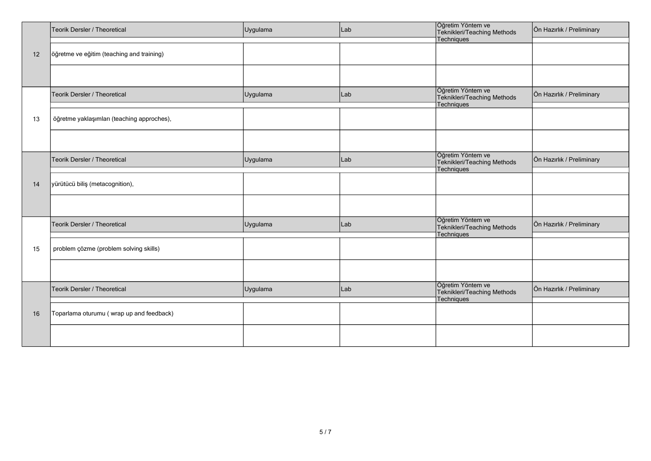|    | Teorik Dersler / Theoretical               | Uygulama | Lab | Öğretim Yöntem ve<br>Teknikleri/Teaching Methods                      | Ön Hazırlık / Preliminary |
|----|--------------------------------------------|----------|-----|-----------------------------------------------------------------------|---------------------------|
| 12 | öğretme ve eğitim (teaching and training)  |          |     | Techniques                                                            |                           |
|    |                                            |          |     |                                                                       |                           |
|    |                                            |          |     |                                                                       |                           |
|    | Teorik Dersler / Theoretical               | Uygulama | Lab | Öğretim Yöntem ve<br>Teknikleri/Teaching Methods<br>Techniques        | Ön Hazırlık / Preliminary |
| 13 | öğretme yaklaşımları (teaching approches), |          |     |                                                                       |                           |
|    |                                            |          |     |                                                                       |                           |
|    | Teorik Dersler / Theoretical               | Uygulama | Lab | Öğretim Yöntem ve<br>Teknikleri/Teaching Methods<br>Techniques        | Ön Hazırlık / Preliminary |
| 14 | yürütücü biliş (metacognition),            |          |     |                                                                       |                           |
|    |                                            |          |     |                                                                       |                           |
|    | Teorik Dersler / Theoretical               | Uygulama | Lab | Öğretim Yöntem ve<br>Teknikleri/Teaching Methods<br><b>Techniques</b> | Ön Hazırlık / Preliminary |
| 15 | problem çözme (problem solving skills)     |          |     |                                                                       |                           |
|    |                                            |          |     |                                                                       |                           |
|    | Teorik Dersler / Theoretical               | Uygulama | Lab | Öğretim Yöntem ve<br>Teknikleri/Teaching Methods<br><b>Techniques</b> | Ön Hazırlık / Preliminary |
| 16 | Toparlama oturumu (wrap up and feedback)   |          |     |                                                                       |                           |
|    |                                            |          |     |                                                                       |                           |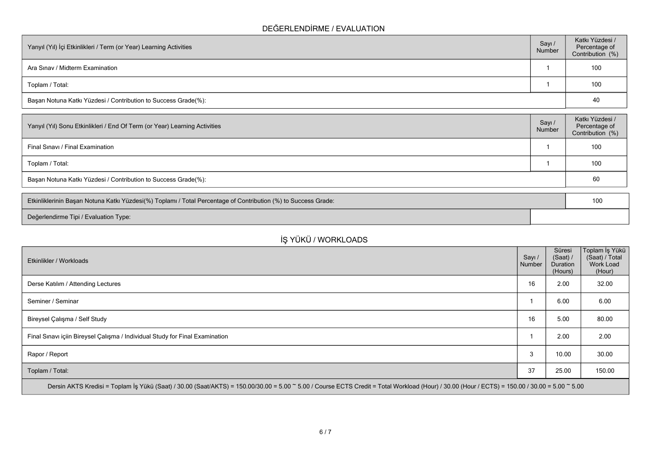### **DEĞERLENDİRME / EVALUATION**

| Yarıyıl (Yıl) İçi Etkinlikleri / Term (or Year) Learning Activities | Sayı /<br>Number | Katkı Yüzdesi /<br>Percentage of<br>Contribution (%) |
|---------------------------------------------------------------------|------------------|------------------------------------------------------|
| Ara Sinav / Midterm Examination                                     |                  | 100                                                  |
| Toplam / Total:                                                     |                  | 100                                                  |
| Başarı Notuna Katkı Yüzdesi / Contribution to Success Grade(%):     | 40               |                                                      |

| Sayı/<br>Number | Katkı Yüzdesi /<br>Percentage of<br>Contribution (%) |
|-----------------|------------------------------------------------------|
|                 | 100                                                  |
|                 | 100                                                  |
|                 | 60                                                   |
|                 |                                                      |

| Etkinliklerinin Başarı Notuna Katkı Yüzdesi(%) Toplamı / Total Percentage of Contribution (%) to Success Grade: |  |  |  |
|-----------------------------------------------------------------------------------------------------------------|--|--|--|
| Değerlendirme Tipi / Evaluation Type:                                                                           |  |  |  |

# **İŞ YÜKÜ / WORKLOADS**

| Etkinlikler / Workloads                                                                                                                                                                        | Sayı /<br>Number | Süresi<br>(Saat) /<br>Duration<br>(Hours) | Toplam İş Yükü<br>(Saat) / Total<br>Work Load<br>(Hour) |  |  |  |  |  |  |
|------------------------------------------------------------------------------------------------------------------------------------------------------------------------------------------------|------------------|-------------------------------------------|---------------------------------------------------------|--|--|--|--|--|--|
| Derse Katılım / Attending Lectures                                                                                                                                                             | 16               | 2.00                                      | 32.00                                                   |  |  |  |  |  |  |
| Seminer / Seminar                                                                                                                                                                              |                  | 6.00                                      | 6.00                                                    |  |  |  |  |  |  |
| Bireysel Çalışma / Self Study                                                                                                                                                                  | 16               | 5.00                                      | 80.00                                                   |  |  |  |  |  |  |
| Final Sınavı içiin Bireysel Çalışma / Individual Study for Final Examination                                                                                                                   |                  | 2.00                                      | 2.00                                                    |  |  |  |  |  |  |
| Rapor / Report                                                                                                                                                                                 | 3                | 10.00                                     | 30.00                                                   |  |  |  |  |  |  |
| Toplam / Total:                                                                                                                                                                                | 37               | 25.00                                     | 150.00                                                  |  |  |  |  |  |  |
| Dersin AKTS Kredisi = Toplam İş Yükü (Saat) / 30.00 (Saat/AKTS) = 150.00/30.00 = 5.00 ~ 5.00 / Course ECTS Credit = Total Workload (Hour) / 30.00 (Hour / ECTS) = 150.00 / 30.00 = 5.00 ~ 5.00 |                  |                                           |                                                         |  |  |  |  |  |  |